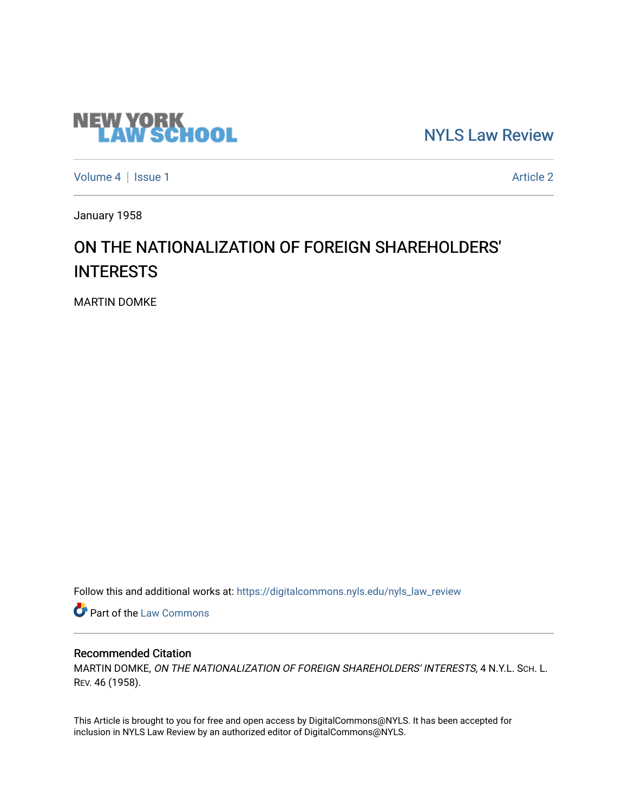# **NEW YORK<br>LAW SCHOOL**

[NYLS Law Review](https://digitalcommons.nyls.edu/nyls_law_review) 

[Volume 4](https://digitalcommons.nyls.edu/nyls_law_review/vol4) | [Issue 1](https://digitalcommons.nyls.edu/nyls_law_review/vol4/iss1) Article 2

January 1958

## ON THE NATIONALIZATION OF FOREIGN SHAREHOLDERS' **INTERESTS**

MARTIN DOMKE

Follow this and additional works at: [https://digitalcommons.nyls.edu/nyls\\_law\\_review](https://digitalcommons.nyls.edu/nyls_law_review?utm_source=digitalcommons.nyls.edu%2Fnyls_law_review%2Fvol4%2Fiss1%2F2&utm_medium=PDF&utm_campaign=PDFCoverPages) 

**Part of the [Law Commons](https://network.bepress.com/hgg/discipline/578?utm_source=digitalcommons.nyls.edu%2Fnyls_law_review%2Fvol4%2Fiss1%2F2&utm_medium=PDF&utm_campaign=PDFCoverPages)** 

#### Recommended Citation

MARTIN DOMKE, ON THE NATIONALIZATION OF FOREIGN SHAREHOLDERS' INTERESTS, 4 N.Y.L. SCH. L. REV. 46 (1958).

This Article is brought to you for free and open access by DigitalCommons@NYLS. It has been accepted for inclusion in NYLS Law Review by an authorized editor of DigitalCommons@NYLS.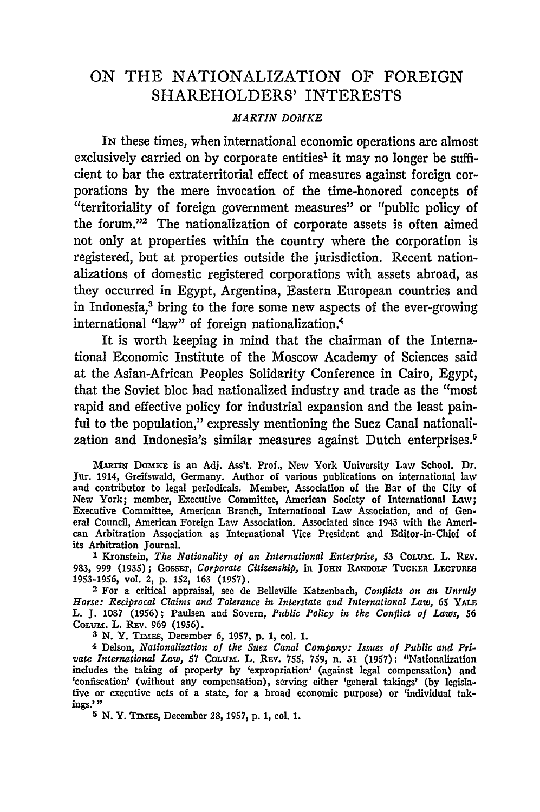### **ON** THE NATIONALIZATION OF FOREIGN SHAREHOLDERS' INTERESTS

#### *MARTIN DOMKE*

IN these times, when international economic operations are almost exclusively carried on by corporate entities' it may no longer be sufficient to bar the extraterritorial effect of measures against foreign corporations by the mere invocation of the time-honored concepts of "territoriality of foreign government measures" or "public policy of the forum."<sup>2</sup> The nationalization of corporate assets is often aimed not only at properties within the country where the corporation is registered, but at properties outside the jurisdiction. Recent nationalizations of domestic registered corporations with assets abroad, as they occurred in Egypt, Argentina, Eastern European countries and in Indonesia,<sup>3</sup> bring to the fore some new aspects of the ever-growing international "law" of foreign nationalization.4

It is worth keeping in mind that the chairman of the International Economic Institute of the Moscow Academy of Sciences said at the Asian-African Peoples Solidarity Conference in Cairo, Egypt, that the Soviet bloc had nationalized industry and trade as the "most rapid and effective policy for industrial expansion and the least painful to the population," expressly mentioning the Suez Canal nationalization and Indonesia's similar measures against Dutch enterprises.<sup>5</sup>

MARTnm **DomE** is an **Adj.** Ass't. Prof., New York University Law School. Dr. Jur. 1914, Greifswald, Germany. Author of various publications on international law and contributor to legal periodicals. Member, Association of the Bar of the City of New York; member, Executive Committee, American Society of International Law; Executive Committee, American Branch, International Law Association, and of General Council, American Foreign Law Association. Associated since 1943 with the American Arbitration Association as International Vice President and Editor-in-Chief of its Arbitration Journal.

**1** Kronstein, *The Nationality of an International Enterprise,* **53** CoLint. L. Ray. 983, 999 (1935); Gosser, *Corporate Citizenship*, in JOHN RANDOLF TUCKER LECTURES **1953-1956,** vol. 2, **p. 152, 163 (1957).**

**<sup>2</sup>**For a critical appraisal, see de Belleville Katzenbach, *Conflicts on an Unruly Horse: Reciprocal Claims and Tolerance in Interstate and International Law,* **65** *YALE* L. **J. 1087** (1956); Paulsen and Sovern, *Public Policy in the Conflict of Laws, 56* COLUM. L. REV. 969 (1956).

**<sup>3</sup>**N. Y. TirmEs, December 6, 1957, **p. 1,** col. 1.

**4** Delson, *Nationalization of the Suez Canal Company: Issues of Public and Pri*vate International Law, 57 COLUM. L. REV. 755, 759, n. 31 (1957): "Nationalization includes the taking of property **by** 'expropriation' (against legal compensation) and 'confiscation' (without any compensation), serving either 'general takings' **(by** legislative or executive acts of a state, for a broad economic purpose) or 'individual takings."

**5 N.** Y. Timras, December **28, 1957, p. 1,** col. **1.**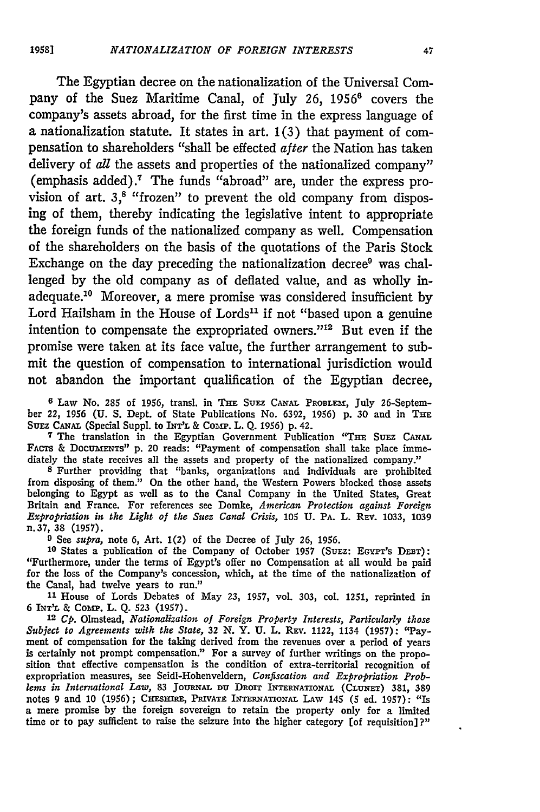The Egyptian decree on the nationalization of the Universal Company of the Suez Maritime Canal, of July 26, 1956<sup>6</sup> covers the company's assets abroad, for the first time in the express language of a nationalization statute. It states in art. 1(3) that payment of compensation to shareholders "shall be effected after the Nation has taken delivery of all the assets and properties of the nationalized company" (emphasis added).<sup>7</sup> The funds "abroad" are, under the express provision of art. **3,8** "frozen" to prevent the old company from disposing of them, thereby indicating the legislative intent to appropriate the foreign funds of the nationalized company as well. Compensation of the shareholders on the basis of the quotations of the Paris Stock Exchange on the day preceding the nationalization decree<sup>9</sup> was challenged by the old company as of deflated value, and as wholly inadequate.<sup>10</sup> Moreover, a mere promise was considered insufficient by Lord Hailsham in the House of Lords<sup>11</sup> if not "based upon a genuine intention to compensate the expropriated owners."<sup>12</sup> But even if the promise were taken at its face value, the further arrangement to submit the question of compensation to international jurisdiction would not abandon the important qualification of the Egyptian decree,

**6** Law No. 285 of **1956,** transl. in TnE SuEz **CANAL PROBLELa,** July 26-September 22, 1956 **(U. S.** Dept. of State Publications No. **6392,** 1956) **p. 30** and in TE SuEz **CANAL** (Special Suppl. to **INT'L** & Comp. L. **Q. 1956) p.** 42.

<sup>7</sup> The translation in the Egyptian Government Publication "THE SUEZ CANAL FACTS & DOCUMENTS" p. 20 reads: "Payment of compensation shall take place imme-<br>diately the state receives all the assets and property of the nationalized company." diately the state receives all the assets and property of the nationalized company." **<sup>8</sup>**Further providing that "banks, organizations and individuals are prohibited

from disposing of them." On the other hand, the Western Powers blocked those assets belonging to Egypt as well as to the Canal Company in the United States, Great Britain and France. For references see Domke, *American Protection against Foreign Expropriation in the Light of the Suez Canal Crisis,* **105** U. PA. L. REV. 1033, **1039** n.37, 38 (1957).

**9** See *supra,* note 6, Art. 1(2) of the Decree of July 26, 1956.

<sup>10</sup> States a publication of the Company of October 1957 (SUEZ: EGYPT'S DEBT): "Furthermore, under the terms of Egypt's offer no Compensation at all would be paid for the loss of the Company's concession, which, at the time of the nationalization of the Canal, had twelve years to run."

**11** House of Lords Debates of May 23, 1957, vol. 303, col. 1251, reprinted in 6 **INT'L** & Comp. L. **Q. 523** (1957).

*12 Cp.* Olmstead, *Nationalization of Foreign Property Interests, Particularly those Subject to Agreements with the State,* 32 **N.** Y. U. L. Rav. 1122, 1134 **(1957):** "Payment of compensation for the taking derived from the revenues over a period of years is certainly not prompt compensation." For a survey of further writings on the proposition that effective compensation is the condition of extra-territorial recognition of expropriation measures, see Seidl-Hohenveldern, *Confiscation and Expropriation Problems in International Law,* 83 JOURNAL DU DROIT INTERNATIONAL (CLUNET) 381, 389 notes 9 and 10 (1956); CHESHIRE, PRIVATE INTERNATIONAL LAW 145 (5 ed. 1957): "Is a mere promise by the foreign sovereign to retain the property only for a limited time or to pay sufficient to raise the seizure into the higher category [of requisition] **?"**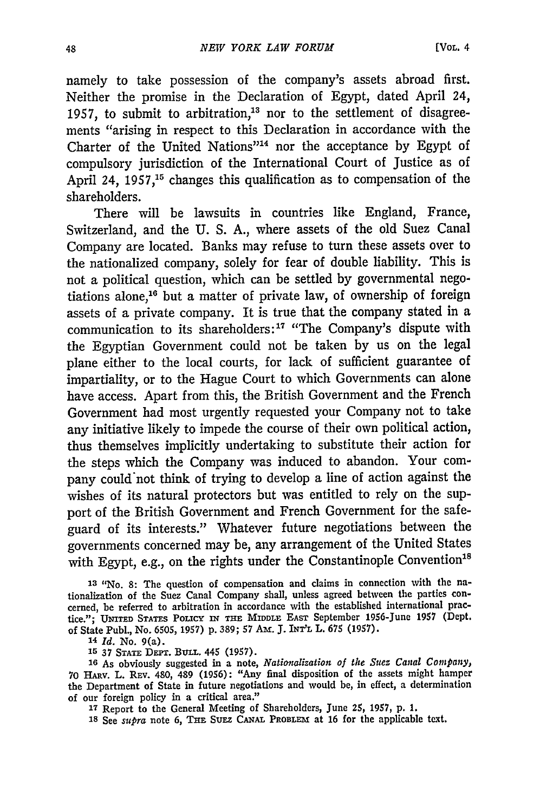namely to take possession of the company's assets abroad first. Neither the promise in the Declaration of Egypt, dated April 24, 1957, to submit to arbitration,<sup>13</sup> nor to the settlement of disagreements "arising in respect to this Declaration in accordance with the Charter of the United Nations"<sup>14</sup> nor the acceptance by Egypt of compulsory jurisdiction of the International Court of Justice as of April 24, 1957,<sup>15</sup> changes this qualification as to compensation of the shareholders.

There will be lawsuits in countries like England, France, Switzerland, and the U. S. **A.,** where assets of the old Suez Canal Company are located. Banks may refuse to turn these assets over to the nationalized company, solely for fear of double liability. This is not a political question, which can be settled by governmental negotiations alone,<sup>16</sup> but a matter of private law, of ownership of foreign assets of a private company. It is true that the company stated in a communication to its shareholders:<sup>17</sup> "The Company's dispute with the Egyptian Government could not be taken by us on the legal plane either to the local courts, for lack of sufficient guarantee of impartiality, or to the Hague Court to which Governments can alone have access. Apart from this, the British Government and the French Government had most urgently requested your Company not to take any initiative likely to impede the course of their own political action, thus themselves implicitly undertaking to substitute their action for the steps which the Company was induced to abandon. Your company could'not think of trying to develop a line of action against the wishes of its natural protectors but was entitled to rely on the support of the British Government and French Government for the safeguard of its interests." Whatever future negotiations between the governments concerned may be, any arrangement of the United States with Egypt, e.g., on the rights under the Constantinople Convention<sup>18</sup>

<sup>14</sup>*Id.* No. 9(a).

**15 37 STATE DEPT. BuLL.** 445 **(1957).**

**<sup>16</sup>**As obviously suggested in **a note,** *Nationalization of the Suez Canal Company,* 70 HARV. L. REv. 480, 489 (1956): "Any final disposition of the assets might hamper the Department of State in future negotiations and would be, in effect, a determination of our foreign policy in a critical area."

**<sup>17</sup>**Report to the General Meeting of Shareholders, June **25, 1957,** p. 1.

**<sup>18</sup>**See supra note **6, THE** SuEz **CANAL** PROBLEm at 16 for the applicable text.

**<sup>13</sup>** "No. 8: The question of compensation and claims in connection with the nationalization of the Suez Canal Company shall, unless agreed between the parties concerned, be referred to arbitration in accordance with the established international practice."; UNITED **STATES POLICY IN THE** MIDDLE EAST September 1956-June **1957** (Dept. of State Publ., No. **6505, 1957) p. 389; 57** Am. **J. INT'L** L. **675 (1957).**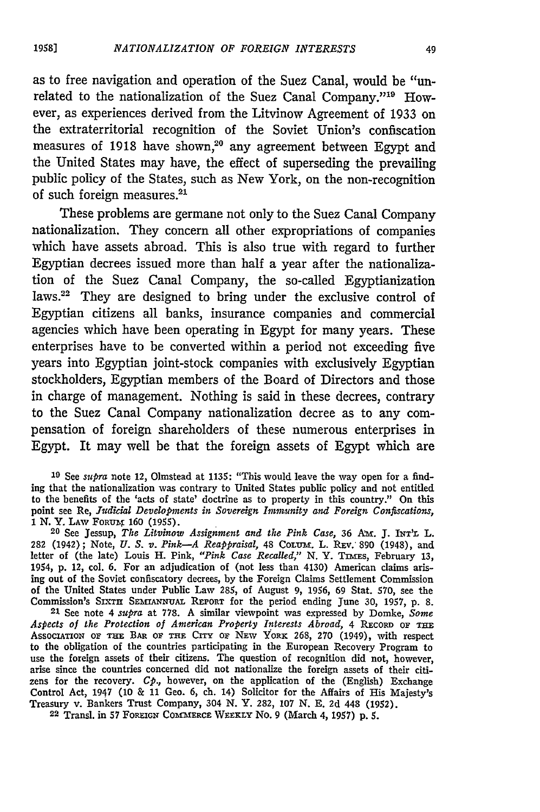as to free navigation and operation of the Suez Canal, would be "unrelated to the nationalization of the Suez Canal Company."<sup>19</sup> However, as experiences derived from the Litvinow Agreement of 1933 on the extraterritorial recognition of the Soviet Union's confiscation measures of 1918 have shown,<sup>20</sup> any agreement between Egypt and the United States may have, the effect of superseding the prevailing public policy of the States, such as New York, on the non-recognition of such foreign measures.<sup>21</sup>

These problems are germane not only to the Suez Canal Company nationalization. They concern all other expropriations of companies which have assets abroad. This is also true with regard to further Egyptian decrees issued more than half a year after the nationalization of the Suez Canal Company, the so-called Egyptianization laws.22 They are designed to bring under the exclusive control of Egyptian citizens all banks, insurance companies and commercial agencies which have been operating in Egypt for many years. These enterprises have to be converted within a period not exceeding five years into Egyptian joint-stock companies with exclusively Egyptian stockholders, Egyptian members of the Board of Directors and those in charge of management. Nothing is said in these decrees, contrary to the Suez Canal Company nationalization decree as to any compensation of foreign shareholders of these numerous enterprises in Egypt. It may well be that the foreign assets of Egypt which are

**19** See *supra* note 12, Olmstead at 1135: "This would leave the way open for a finding that the nationalization was contrary to United States public policy and not entitled to the benefits of the 'acts of state' doctrine as to property in this country." On this point see Re, *Judicial Developments in Sovereign Immunity and Foreign Confvcations,* **1 N. Y. LAW FORUM 160 (1955).** 

**20** See Jessup, *The Litvinow Assignment and the Pink Case,* **36** *Am.* **J.** INT'L L. 282 (1942); Note, *U. S. v. Pink-A Reappraisal,* 48 CoLum. L. REv.' 890 (1948), and letter of (the late) Louis H. Pink, *"Pink Case Recalled,"* **N.** Y. Tiurs, February **13,** 1954, **p.** 12, col. **6.** For an adjudication of (not less than 4130) American claims arising out of the Soviet confiscatory decrees, **by** the Foreign Claims Settlement Commission of the United States under Public Law **285,** of August **9, 1956, 69** Stat. **570,** see the Commission's SIXTH SEMIANNUAL REPORT for the period ending June 30, 1957, p. 8.

21 See note 4 *supra* at **778. A** similar viewpoint was expressed **by** Domke, *Some* Aspects of the Protection of American Property Interests Abroad, 4 RECORD OF THE **AssocIATioN OF THE BAR OF THE CrTY oF** NEw YoRK **268, 270** (1949), with respect to the obligation of the countries participating in the European Recovery Program to use the foreign assets of their citizens. The question of recognition did not, however, arise since the countries concerned did not nationalize the foreign assets of their citizens for the recovery. *Cp.,* however, on the application of the (English) Exchange Control Act, 1947 **(10** & **11** Geo. **6,** ch. 14) Solicitor for the Affairs of His Majesty's Treasury v. Bankers Trust Company, 304 **N.** Y. **282, 107 N. E. 2d 448 (1952). <sup>22</sup>**Transl. in **57 FOREIGN COLMSERCE WEEKLY** No. **9** (March **4, 1957) p. 5.**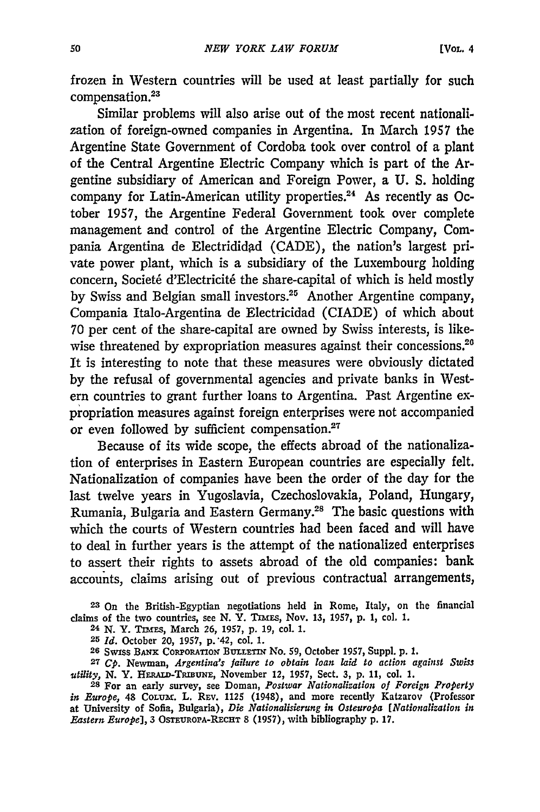frozen in Western countries will be used at least partially for such compensation.<sup>23</sup>

Similar problems will also arise out of the most recent nationalization of foreign-owned companies in Argentina. In March 1957 the Argentine State Government of Cordoba took over control of a plant of the Central Argentine Electric Company which is part of the Argentine subsidiary of American and Foreign Power, a U. S. holding company for Latin-American utility properties.<sup>24</sup> As recently as October 1957, the Argentine Federal Government took over complete management and control of the Argentine Electric Company, Compania Argentina de Electrididad (CADE), the nation's largest private power plant, which is a subsidiary of the Luxembourg holding concern, Societé d'Electricité the share-capital of which is held mostly by Swiss and Belgian small investors.<sup>25</sup> Another Argentine company, Compania Italo-Argentina de Electricidad (CIADE) of which about 70 per cent of the share-capital are owned by Swiss interests, is likewise threatened by expropriation measures against their concessions.<sup>26</sup> It is interesting to note that these measures were obviously dictated by the refusal of governmental agencies and private banks in Western countries to grant further loans to Argentina. Past Argentine expropriation measures against foreign enterprises were not accompanied or even followed by sufficient compensation.<sup>27</sup>

Because of its wide scope, the effects abroad of the nationalization of enterprises in Eastern European countries are especially felt. Nationalization of companies have been the order of the day for the last twelve years in Yugoslavia, Czechoslovakia, Poland, Hungary, Rumania, Bulgaria and Eastern Germany.<sup>28</sup> The basic questions with which the courts of Western countries had been faced and will have to deal in further years is the attempt of the nationalized enterprises to assert their rights to assets abroad of the old companies: bank accounts, claims arising out of previous contractual arrangements,

**23** On the British-Egyptian negotiations held in Rome, Italy, on the financial claims of the two countries, see **N.** Y. T1aas, Nov. **13, 1957, p. 1,** col. **1.**

**24 N.** Y. Timrs, March **26, 1957, p. 19,** col. **1.**

**25** *Id.* October 20, **1957,** p.'42, col. **1.**

**26** Swiss **BANK** CossoRAmox BuLLETIN No. **59,** October **1957,** Suppl. **p. 1.**

*27 Cp.* Newman, *Argentina's failure to obtain loan laid to action against Swiss utility,* **N.** Y. **HERAI.-TRIBUNE,** November 12, 1957, Sect. 3, p. **11,** col. **1.**

**28** For an early survey, see Doman, *Postwar Nationalization of Foreign Property in Europe*, 48 COLUM. L. REV. 1125 (1948), and more recently Katzarov (Professo at University of Sofia, Bulgaria), *Die Nationalisierung in Osteuropa [Nationalization in Eastern Europe*], 3 OSTEUROPA-RECHT 8 (1957), with bibliography p. 17.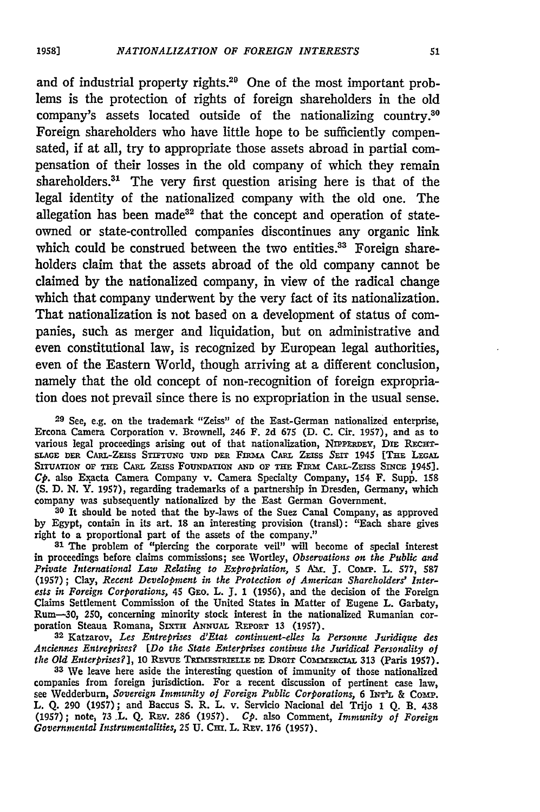and of industrial property rights.<sup>29</sup> One of the most important problems is the protection of rights of foreign shareholders in the old company's assets located outside of the nationalizing country.<sup>30</sup> Foreign shareholders who have little hope to be sufficiently compensated, if at all, try to appropriate those assets abroad in partial compensation of their losses in the old company of which they remain shareholders.<sup>31</sup> The very first question arising here is that of the legal identity of the nationalized company with the old one. The allegation has been made<sup>32</sup> that the concept and operation of stateowned or state-controlled companies discontinues any organic link which could be construed between the two entities.<sup>33</sup> Foreign shareholders claim that the assets abroad of the old company cannot be claimed by the nationalized company, in view of the radical change which that company underwent by the very fact of its nationalization. That nationalization is not based on a development of status of companies, such as merger and liquidation, but on administrative and even constitutional law, is recognized by European legal authorities, even of the Eastern World, though arriving at a different conclusion, namely that the old concept of non-recognition of foreign expropriation does not prevail since there is no expropriation in the usual sense.

**29** See, **e.g.** on the trademark "Zeiss" of the East-German nationalized enterprise, Ercona Camera Corporation v. Brownell, 246 F. 2d 675 **(D.** C. Cir. 1957), and as to various legal proceedings arising out of that nationalization, NIPPERDEY, DIE RECHT-**SLAGE** DER CARL-ZEIss **STIFTUNG** ND **DER FIRMfA** CARL **ZEISS** *SE1T* 1945 [THE **LEGAL.** SITUATION OF THE CARL ZEISS FOUNDATION AND OF THE FIRM CARL-ZEISS SINCE 1945]. Cp. also Exacta Camera Company v. Camera Specialty Company, 154 F. Supp. 158 (S. D. N. Y. 1957), regarding trademarks of a partnership in Dresden, Germany, which company was subsequently nationalized by the East German Government.

**30** It should be noted that the by-laws of the Suez Canal Company, as approved by Egypt, contain in its art. 18 an interesting provision (transl): "Each share gives right to a proportional part of the assets of the company."

**31** The problem of "piercing the corporate veil" will become of special interest in proceedings before daims commissions; see Wortley, *Observations on the Public and Private International Law Relating to Expropriation, 5* Atr. **J.** Coux. L. 577, 587 **(1957);** Clay, *Recent Development in the Protection of American Shareholders' Interests in Foreign Corporations,* 45 GEo. L. **J.** 1 (1956), and the decision of the Foreign Claims Settlement Commission of the United States in Matter of Eugene L. Garbaty, Rum-30, 250, concerning minority stock interest in the nationalized Rumanian corporation Steaua Romana, **SIxTH ANNUAL** REPoRT 13 (1957).

**<sup>32</sup>**Katzarov, *Les Entreprises d'Etat continuent-elles [a Personne Juridique des Anciennes Entreprises? [Do the State Enterprises continue the Juridical Personality of the Old Enterprises?*], 10 REVUE TRIMESTRIELLE DE DROIT COMMERCIAL 313 (Paris 1957).

**<sup>33</sup>**We leave here aside the interesting question of immunity of those nationalized companies from foreign jurisdiction. For a recent discussion of pertinent case law, see Wedderburn, *Sovereign Immunity of Foreign Public Corporations,* 6 **INTIL** & Comp. L. Q. **290** (1957); and Baccus S. R. L. v. Servicio Nacional del Trijo **1** Q. B. 438 (1957); note, 73 **.L.** Q. Rav. **286** (1957). Cp. also Comment, *Immunity of Foreign Governmental Instrumentalities,* 25 U. CmI. L. REv. 176 (1957).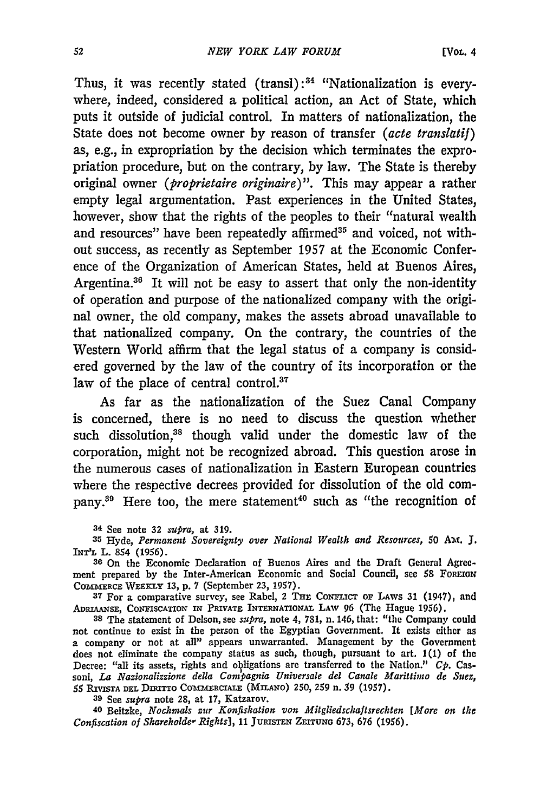Thus, it was recently stated (transl):<sup>34</sup> "Nationalization is everywhere, indeed, considered a political action, an Act of State, which puts it outside of judicial control. In matters of nationalization, the State does not become owner by reason of transfer *(acte translatij)* as, e.g., in expropriation by the decision which terminates the expropriation procedure, but on the contrary, by law. The State is thereby original owner *(proprietaire originaire)".* This may appear a rather empty legal argumentation. Past experiences in the United States, however, show that the rights of the peoples to their "natural wealth and resources" have been repeatedly affirmed<sup>35</sup> and voiced, not without success, as recently as September 1957 at the Economic Conference of the Organization of American States, held at Buenos Aires, Argentina.<sup>36</sup> It will not be easy to assert that only the non-identity of operation and purpose of the nationalized company with the original owner, the old company, makes the assets abroad unavailable to that nationalized company. On the contrary, the countries of the Western World affirm that the legal status of a company is considered governed by the law of the country of its incorporation or the law of the place of central control.<sup>37</sup>

As far as the nationalization of the Suez Canal Company is concerned, there is no need to discuss the question whether such dissolution,<sup>38</sup> though valid under the domestic law of the corporation, might not be recognized abroad. This question arose in the numerous cases of nationalization in Eastern European countries where the respective decrees provided for dissolution of the old company.<sup>39</sup> Here too, the mere statement<sup>40</sup> such as "the recognition of

34 See note **32** *supra,* at **319.**

**35** Hyde, *Permanent Sovereignty over National Wealth and Resources, 50 Am.* **J. INT'L** L. 854 (1956).

**36** On the Economic Declaration of Buenos Aires and the Draft General Agreement prepared by the Inter-American Economic and Social Council, see 58 FoREIoN COmaERcF **WEEKLY** 13, p. 7 (September 23, 1957).

<sup>37</sup> For a comparative survey, see Rabel, 2 THE CONFLICT OF LAWS 31 (1947), and ADRIAANSE, CONFISCATION IN PRIVATE INTERNATIONAL LAW 96 (The Hague 1956).

**<sup>38</sup>**The statement of Delson, see *sipra,* note 4, 781, n. 146, that: "the Company could not continue to exist in the person of the Egyptian Government. It exists either as a company or not at all" appears unwarranted. Management by the Government does not eliminate the company status as such, though, pursuant to art. 1(1) of the Decree: "all its assets, rights and olligations are transferred to the Nation." **Cp.** Cas-soni, *La Nazionalizzione della Compagnia Universale del Canale Marittino de Suez,* 55 R. STA **DEL** Dmirro **CommEaciALE** (MiLANo) 250, 259 n. **S9** (1957).

**39** See *supra* note 28, at 17, Katzarov.

**40** Beitzke, *Nochnmls zur Konfiskation von Mitgliedschaftsrechten [More on the Confiscation of Shareholder Rights],* 11 **JuRIsTEN ZEITUNG** 673, 676 (1956).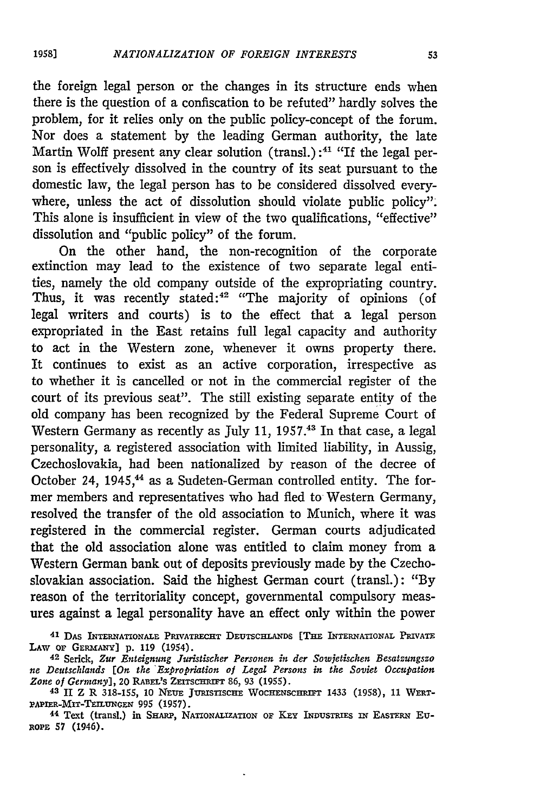the foreign legal person or the changes in its structure ends when there is the question of a confiscation to be refuted" hardly solves the problem, for it relies only on the public policy-concept of the forum. Nor does a statement by the leading German authority, the late Martin Wolff present any clear solution (transl.): $41$  "If the legal person is effectively dissolved in the country of its seat pursuant to the domestic law, the legal person has to be considered dissolved everywhere, unless the act of dissolution should violate public policy". This alone is insufficient in view of the two qualifications, "effective" dissolution and "public policy" of the forum.

On the other hand, the non-recognition of the corporate extinction may lead to the existence of two separate legal entities, namely the old company outside of the expropriating country. Thus, it was recently stated:<sup>42</sup> "The majority of opinions (of legal writers and courts) is to the effect that a legal person expropriated in the East retains full legal capacity and authority to act in the Western zone, whenever it owns property there. It continues to exist as an active corporation, irrespective as to whether it is cancelled or not in the commercial register of the court of its previous seat". The still existing separate entity of the old company has been recognized by the Federal Supreme Court of Western Germany as recently as July 11, **1957.43** In that case, a legal personality, a registered association with limited liability, in Aussig, Czechoslovakia, had been nationalized by reason of the decree of October 24, 1945,<sup>44</sup> as a Sudeten-German controlled entity. The former members and representatives who had fled to Western Germany, resolved the transfer of the old association to Munich, where it was registered in the commercial register. German courts adjudicated that the old association alone was entitled to claim money from a Western German bank out of deposits previously made by the Czechoslovakian association. Said the highest German court (transl.): "By reason of the territoriality concept, governmental compulsory measures against a legal personality have an effect only within the power

**<sup>41</sup> DAS INTERNATiONALE** PRIVATRECHT **DEUTsCHLANDS [THE** INTERNATIONAL **PRIVATE** LAW Or GERmANY] **p. 119** (1954).

**<sup>42</sup>** Serick, *Zur Enteignung Juristischer Personen in der Sowjetischen Besatzungszo* **ne** *Deutschlands* [On *the Expropriation of Legal Persons in the Soviet Occupation Zone of Germany],* 20 **RABEL'S ZEInsCHarT 86, 93 (1955).**

<sup>43</sup> II Z R 318-155, 10 NEUE JURISTISCHE WOCHENSCHRIFT 1433 (1958), 11 WERT-PAPIER-MIT-TEILUNGEN 995 (1957).

**<sup>44</sup>** Text (transl.) in SHARP, **NATIONALIZATION OF** KEY **INDUSTRIES** w EASTERN **Eu-ROPE 57** (1946).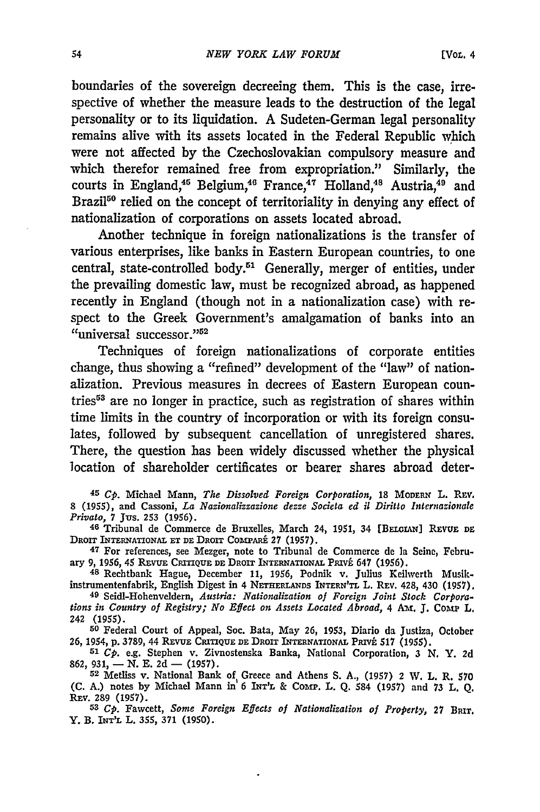boundaries of the sovereign decreeing them. This is the case, irrespective of whether the measure leads to the destruction of the legal personality or to its liquidation. A Sudeten-German legal personality remains alive with its assets located in the Federal Republic which were not affected by the Czechoslovakian compulsory measure and which therefor remained free from expropriation." Similarly, the courts in England,<sup>45</sup> Belgium,<sup>46</sup> France,<sup>47</sup> Holland,<sup>48</sup> Austria,<sup>49</sup> and Brazil<sup>50</sup> relied on the concept of territoriality in denying any effect of nationalization of corporations on assets located abroad.

Another technique in foreign nationalizations is the transfer of various enterprises, like banks in Eastern European countries, to one central, state-controlled body.51 Generally, merger of entities, under the prevailing domestic law, must be recognized abroad, as happened recently in England (though not in a nationalization case) with respect to the Greek Government's amalgamation of banks into an "universal successor." $52$ 

Techniques of foreign nationalizations of corporate entities change, thus showing a "refined" development of the "law" of nationalization. Previous measures in decrees of Eastern European countries<sup>53</sup> are no longer in practice, such as registration of shares within time limits in the country of incorporation or with its foreign consulates, followed **by** subsequent cancellation of unregistered shares. There, the question has been widely discussed whether the physical location of shareholder certificates or bearer shares abroad deter-

**45** *Cp.* Michael Mann, *The Dissolved Foreign Corporation,* 18 MODERN L. REV. 8 **(1955),** and Cassoni, *La Nazionalizzazione dezze Societa ed* **il** *Diritto Internazionale Privato,* 7 JUs. **253** (1956). **<sup>46</sup>**Tribunal de Commerce de Bruxelles, March 24, 1951, 34 [BELOrAn,] Ravu. **DE**

DROIT INTERNATIONAL ET DE DROIT COMPARÉ 27 (1957).<br><sup>47</sup> For references, see Mezger, note to Tribunal de Commerce de la Seine, Febru-

ary 9, 1956, 45 REVUE CRITIQUE DE DROIT INTERNATIONAL PRIVÉ 647 (1956).

**48** Rechtbank Hague, December 11, 1956, Podnik v. Julius Keilwerth Musikinstrumentenfabrik, English Digest in 4 NETHERLANDS INTERN'TL L. REV. 428, 430 (1957).

**49** Seidl-Hohenveldern, *Austria: Nationalization of Foreign Joint Stock Corporations in Country of Registry; No Effect on Assets Located Abroad,* 4 **Am. J.** Comp L, 242 **(1955).**

**50** Federal Court of Appeal, Soc. Bata, May **26, 1953,** Diario da Justiza, October **26,** 1954, p. **3789,** 44 **REVUE CRITIQUE DE DROIT INTERNATIONAL PRIVt 517** (1955).

**<sup>51</sup>***Cp.* e.g. Stephen v. Zivnostenska Banka, National Corporation, 3 **N.** Y. **2d** 862, 931, **-** N. **E. 2d - (1957).**

**<sup>52</sup>**Metliss v. National Bank of Greece and Athens S. A., (1957) 2 W. L. R. **<sup>570</sup> (C.** A.) notes **by** Michael Mann in 6 **INT'L** & Comp. L. **Q.** 584 (1957) and **73 L. Q.** REv. **289 (1957).**

**53** *Cp.* Fawcett, *Some Foreign Effects of Nationalization of Property,* **27 BRIT.** Y. **B. INT'L** L. **355, 371 (1950).**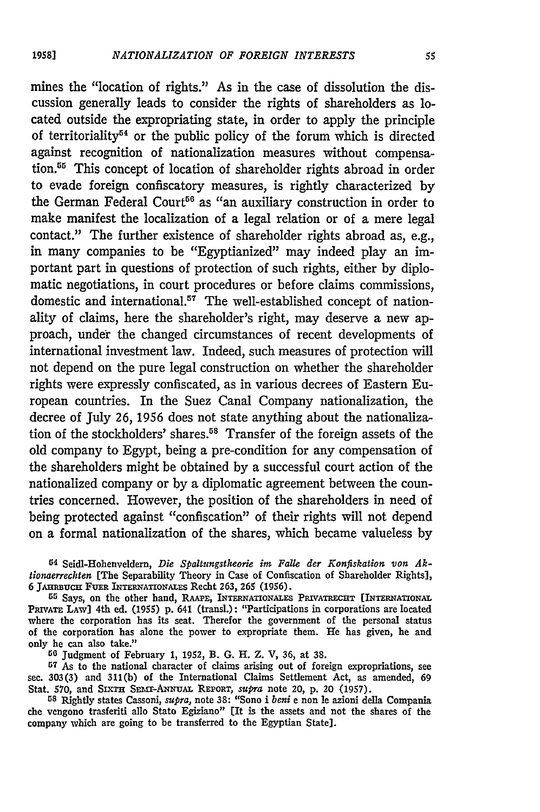mines the "location of rights." As in the case of dissolution the discussion generally leads to consider the rights of shareholders as located outside the expropriating state, in order to apply the principle of territoriality<sup>54</sup> or the public policy of the forum which is directed against recognition of nationalization measures without compensation. 55 This concept of location of shareholder rights abroad in order to evade foreign confiscatory measures, is rightly characterized by the German Federal Court<sup>56</sup> as "an auxiliary construction in order to make manifest the localization of a legal relation or of a mere legal contact." The further existence of shareholder rights abroad as, e.g., in many companies to be "Egyptianized" may indeed play an important part in questions of protection of such rights, either by diplomatic negotiations, in court procedures or before claims commissions, domestic and international. $57$  The well-established concept of nationality of claims, here the shareholder's right, may deserve a new approach, under the changed circumstances of recent developments of international investment law. Indeed, such measures of protection will not depend on the pure legal construction on whether the shareholder rights were expressly confiscated, as in various decrees of Eastern European countries. In the Suez Canal Company nationalization, the decree of July 26, 1956 does not state anything about the nationalization of the stockholders' shares.<sup>58</sup> Transfer of the foreign assets of the old company to Egypt, being a pre-condition for any compensation of the shareholders might be obtained by a successful court action of the nationalized company or by a diplomatic agreement between the countries concerned. However, the position of the shareholders in need of being protected against "confiscation" of their rights will not depend on a formal nationalization of the shares, which became valueless by

**54** Seidl-Hohenveldern, *Die Spaltungstheorie in Falle der Konfiskation von Aktionaerrechten* [The Separability Theory in Case of Confiscation of Shareholder Rights], **6** JAHRBUcH **FUER INTERNATIONBALES** Recht 263, **265** (1956).

<sup>55</sup> Says, on the other hand, RAAPE, INTERNATIONALES PRIVATRECHT [INTERNATIONAL **PRIvATE** LAW] 4th ed. **(1955) p.** 641 (transl.): "Participations in corporations are located where the corporation has its seat. Therefor the government of the personal status of the corporation has alone the power to expropriate them. He has given, he and only he can also take."

**56** judgment of February **1,** 1952, B. **G.** H. Z. V, **36,** at **38.**

<sup>57</sup> As to the national character of claims arising out of foreign expropriations, see sec. **303(3)** and **311(b)** of the International Claims Settlement Act, as amended, **69** Stat. 570, and SIXTH SEMT-ANNUAL REPORT,  $\text{supra}$  note 20, p. 20 (1957).

**58** Rightly states Cassoni, *supra,* note **38:** "Sono i *beni* e non le azioni della Compania **che** vengono trasferiti allo Stato Egiziano" **tit** is the assets and not the shares of the company which are going to **be** transferred to the Egyptian State].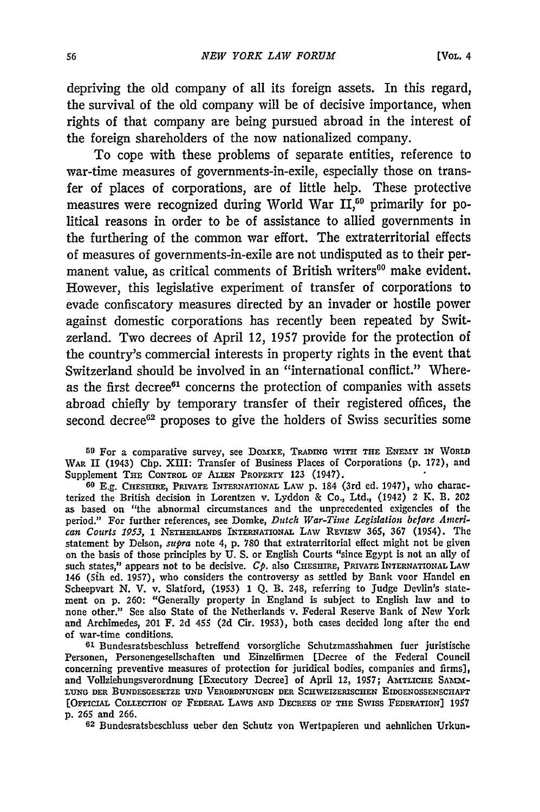depriving the old company of all its foreign assets. In this regard, the survival of the old company will be of decisive importance, when rights of that company are being pursued abroad in the interest of the foreign shareholders of the now nationalized company.

To cope with these problems of separate entities, reference to war-time measures of governments-in-exile, especially those on transfer of places of corporations, are of little help. These protective measures were recognized during World War II,<sup>59</sup> primarily for political reasons in order to be of assistance to allied governments in the furthering of the common war effort. The extraterritorial effects of measures of governments-in-exile are not undisputed as to their permanent value, as critical comments of British writers<sup>60</sup> make evident. However, this legislative experiment of transfer of corporations to evade confiscatory measures directed by an invader or hostile power against domestic corporations has recently been repeated by Switzerland. Two decrees of April 12, 1957 provide for the protection of the country's commercial interests in property rights in the event that Switzerland should be involved in an "international conflict." Whereas the first decree<sup>61</sup> concerns the protection of companies with assets abroad chiefly by temporary transfer of their registered offices, the second decree<sup>62</sup> proposes to give the holders of Swiss securities some

**59** For a comparative survey, see **DOMKE, TRAmIO win** THE **ENFMY IN WORLD WAR** II (1943) Chp. XHI: Transfer of Business Places of Corporations (p. **172),** and Supplement THE CONTROL OF ALIEN PROPERTY 123 (1947).

**60** E.g. **CHEsHIRE,** PRXvATE **INTERNATIONAL** LAW p. 184 (3rd ed. 1947), who characterized the British decision in Lorentzen v. Lyddon & Co., Ltd., (1942) 2 K. B. 202 as based on "the abnormal circumstances and the unprecedented exigencies of the period." For further references, see Domke, *Dutch War-Time Legislation before American Courts 1953,* **1** NETIERLANDS INTERNATIONAL LAW REVIEW **365, 367** (1954). The statement by Delson, *supra* note 4, p. **780** that extraterritorial effect might not be given on the basis of those principles by U. S. or English Courts "since Egypt is not an ally of such states," appears not to be decisive. *Cp.* also CHESHIRE, PRIVATE INTERNATIONAL LAW 146 (5th ed. 1957), who considers the controversy as settled by Bank voor Handel en Scheepvart N. V. v. Slatford, (1953) 1 Q. B. 248, referring to Judge Devlin's statement on p. 260: "Generally property in England is subject to English law and to none other." See also State of the Netherlands v. Federal Reserve Bank of New York and Archimedes, 201 F. 2d 455 (2d Cir. 1953), both cases decided long after the end of war-time conditions.

**61** Bundesratsbeschluss betreffend vorsorgliche Schutzmasshahmen fuer juristische Personen, Personengesellschaften und Einzelfirmen [Decree of the Federal Council concerning preventive measures of protection for juridical bodies, companies and firms], and Vollziehungsverordnung [Executory Decree] of April 12, 1957; AMTLICHE SAMM-**LUNG DER BUNDESGESETZE UND VERORDNUNGEN DER SCHWEIZERISCEEN** EIDOENOssENsciHAFT [OFFICIAL COLLECTION OF FEDERAL LAWS AND DECREES OF THE SWISS FEDERATION] 1957 p. **265 and** 266.

**02** Bundesratsbeschluss ueber den Schutz von Wertpapieren und aehnlichen Urkun-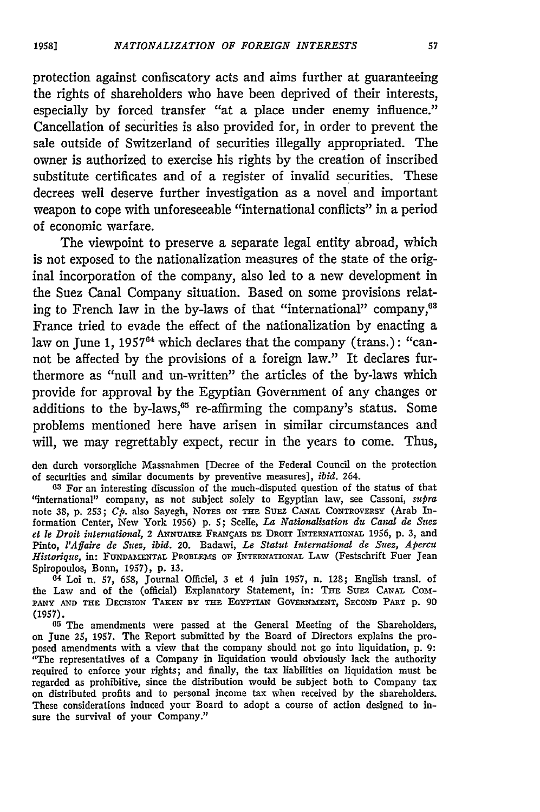protection against confiscatory acts and aims further at guaranteeing the rights of shareholders who have been deprived of their interests, especially by forced transfer "at a place under enemy influence." Cancellation of securities is also provided for, in order to prevent the sale outside of Switzerland of securities illegally appropriated. The owner is authorized to exercise his rights by the creation of inscribed substitute certificates and of a register of invalid securities. These decrees well deserve further investigation as a novel and important weapon to cope with unforeseeable "international conflicts" in a period of economic warfare.

The viewpoint to preserve a separate legal entity abroad, which is not exposed to the nationalization measures of the state of the original incorporation of the company, also led to a new development in the Suez Canal Company situation. Based on some provisions relating to French law in the by-laws of that "international" company,<sup>63</sup> France tried to evade the effect of the nationalization by enacting a law on June 1, 1957<sup>64</sup> which declares that the company (trans.): "cannot be affected by the provisions of a foreign law." It declares furthermore as "null and un-written" the articles of the by-laws which provide for approval by the Egyptian Government of any changes or additions to the by-laws, $65$  re-affirming the company's status. Some problems mentioned here have arisen in similar circumstances and will, we may regrettably expect, recur in the years to come. Thus,

den durch vorsorgliche Massnahmen [Decree of the Federal Council on the protection of securities and similar documents by preventive measures], *ibid.* 264.

**<sup>63</sup>**For an interesting discussion of the much-disputed question of the status of that "international" company, as not subject solely to Egyptian law, see Cassoni, *supra* note 38, p. 253; *Cp.* also Sayegh, NOTES ON **=** SuEZ **CANAL** CONTROVERSY (Arab Information Center, New York **1956) p. 5;** Scelle, *La Nationalisation du Canal de Suez et le Droit international,* 2 **ANNUAIRE FRANgAis DE DROrr** INTERNATIONAL **1956,** p. **3,** and Pinto, *l'Affaire de Suez, ibid.* 20. Badawi, *Le Statut International de Suez, Apercu Historique,* in: **FuNDAmENTAL PROBLEMS OF** INTERNATIONAL **LAW** (Festschrift **Fuer** Jean Spiropoulos, Bonn, 1957), p. **13.**

**<sup>04</sup>**Loi n. 57, 658, Journal Officiel, **3** et 4 juin **1957,** n. **128;** English transl. of the Law and of the (official) Explanatory Statement, in: **THE** Suaz **CANAL** COm-**PANY AND THE** DECISION **TAKEN BY** THE EOYPTiAN GOVERNmENT, **SECOND** PART **p. 90 (1957).**

**<sup>65</sup>**The amendments were passed at the General Meeting of the Shareholders, on June **25, 1957.** The Report submitted by the Board of Directors explains the proposed amendments with a view that the company should not go into liquidation, p. 9: "The representatives of a Company in liquidation would obviously lack the authority required to enforce your rights; and finally, the tax liabilities on liquidation must be regarded as prohibitive, since the distribution would be subject both to Company tax on distributed profits and to personal income tax when received by the shareholders. These considerations induced your Board to adopt a course of action designed to insure the survival of your Company."

**1958]**